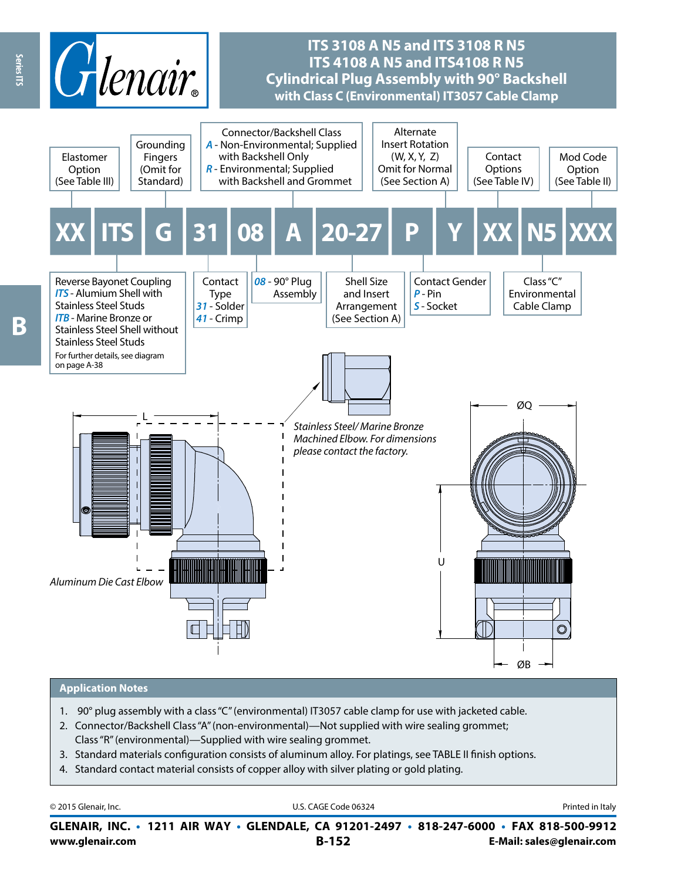

#### **Application Notes**

- 1. 90° plug assembly with a class "C" (environmental) IT3057 cable clamp for use with jacketed cable.
- 2. Connector/Backshell Class "A" (non-environmental)—Not supplied with wire sealing grommet;
- Class "R" (environmental)—Supplied with wire sealing grommet.
- 3. Standard materials configuration consists of aluminum alloy. For platings, see TABLE II finish options.
- 4. Standard contact material consists of copper alloy with silver plating or gold plating.

| © 2015 Glenair, Inc. | U.S. CAGE Code 06324                                                                     | Printed in Italy |
|----------------------|------------------------------------------------------------------------------------------|------------------|
|                      | GLENAIR, INC. • 1211 AIR WAY • GLENDALE, CA 91201-2497 • 818-247-6000 • FAX 818-500-9912 |                  |

**www.glenair.com B-152 E-Mail: sales@glenair.com**

**Beries ITS** B

Series ITS